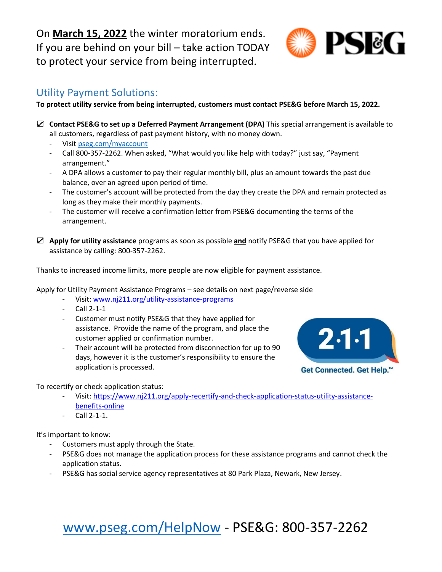On **March 15, 2022** the winter moratorium ends. If you are behind on your bill – take action TODAY to protect your service from being interrupted.

## Utility Payment Solutions:

#### **To protect utility service from being interrupted, customers must contact PSE&G before March 15, 2022.**

- ☑ **Contact PSE&G to set up a Deferred Payment Arrangement (DPA)** This special arrangement is available to all customers, regardless of past payment history, with no money down.
	- Visit [pseg.com/myaccount](http://www.pseg.com/myaccount)
	- Call 800-357-2262. When asked, "What would you like help with today?" just say, "Payment arrangement."
	- A DPA allows a customer to pay their regular monthly bill, plus an amount towards the past due balance, over an agreed upon period of time.
	- The customer's account will be protected from the day they create the DPA and remain protected as long as they make their monthly payments.
	- The customer will receive a confirmation letter from PSE&G documenting the terms of the arrangement.
- ☑ **Apply for utility assistance** programs as soon as possible **and** notify PSE&G that you have applied for assistance by calling: 800-357-2262.

Thanks to increased income limits, more people are now eligible for payment assistance.

Apply for Utility Payment Assistance Programs – see details on next page/reverse side

- Visit: www[.nj211.org/utility-assistance-programs](http://www.nj211.org/utility-assistance-programs)
- Call 2-1-1
- Customer must notify PSE&G that they have applied for assistance. Provide the name of the program, and place the customer applied or confirmation number.
- Their account will be protected from disconnection for up to 90 days, however it is the customer's responsibility to ensure the application is processed.



To recertify or check application status:

- Visit: [https://www.nj211.org/apply-recertify-and-check-application-status-utility-assistance](https://www.nj211.org/apply-recertify-and-check-application-status-utility-assistance-benefits-online)[benefits-online](https://www.nj211.org/apply-recertify-and-check-application-status-utility-assistance-benefits-online)
- Call 2-1-1.

It's important to know:

- Customers must apply through the State.
- PSE&G does not manage the application process for these assistance programs and cannot check the application status.
- PSE&G has social service agency representatives at 80 Park Plaza, Newark, New Jersey.

# [www.pseg.com/HelpNow](http://www.pseg.com/HelpNow) - PSE&G: 800-357-2262